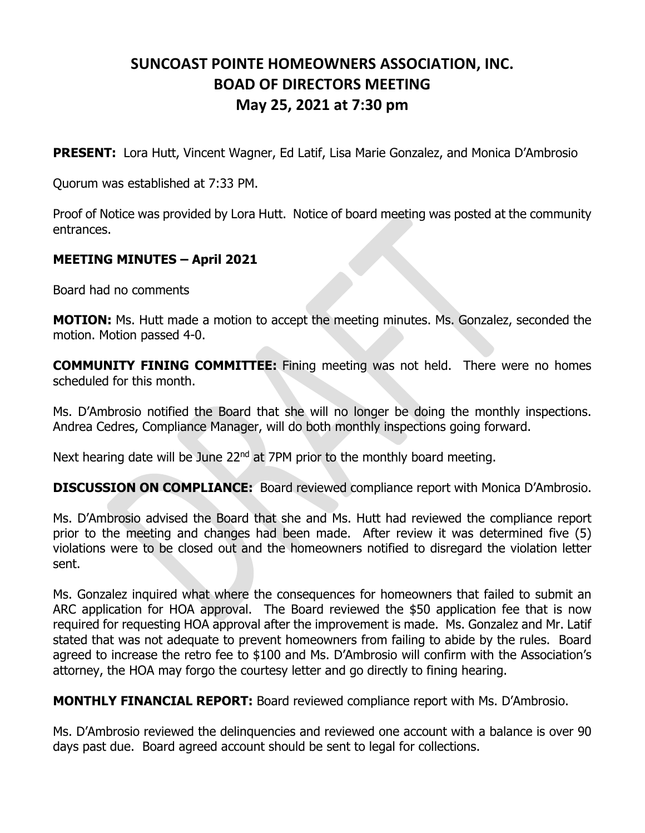## **SUNCOAST POINTE HOMEOWNERS ASSOCIATION, INC. BOAD OF DIRECTORS MEETING May 25, 2021 at 7:30 pm**

**PRESENT:** Lora Hutt, Vincent Wagner, Ed Latif, Lisa Marie Gonzalez, and Monica D'Ambrosio

Quorum was established at 7:33 PM.

Proof of Notice was provided by Lora Hutt. Notice of board meeting was posted at the community entrances.

## **MEETING MINUTES – April 2021**

Board had no comments

**MOTION:** Ms. Hutt made a motion to accept the meeting minutes. Ms. Gonzalez, seconded the motion. Motion passed 4-0.

**COMMUNITY FINING COMMITTEE:** Fining meeting was not held. There were no homes scheduled for this month.

Ms. D'Ambrosio notified the Board that she will no longer be doing the monthly inspections. Andrea Cedres, Compliance Manager, will do both monthly inspections going forward.

Next hearing date will be June  $22<sup>nd</sup>$  at 7PM prior to the monthly board meeting.

**DISCUSSION ON COMPLIANCE:** Board reviewed compliance report with Monica D'Ambrosio.

Ms. D'Ambrosio advised the Board that she and Ms. Hutt had reviewed the compliance report prior to the meeting and changes had been made. After review it was determined five (5) violations were to be closed out and the homeowners notified to disregard the violation letter sent.

Ms. Gonzalez inquired what where the consequences for homeowners that failed to submit an ARC application for HOA approval. The Board reviewed the \$50 application fee that is now required for requesting HOA approval after the improvement is made. Ms. Gonzalez and Mr. Latif stated that was not adequate to prevent homeowners from failing to abide by the rules. Board agreed to increase the retro fee to \$100 and Ms. D'Ambrosio will confirm with the Association's attorney, the HOA may forgo the courtesy letter and go directly to fining hearing.

**MONTHLY FINANCIAL REPORT:** Board reviewed compliance report with Ms. D'Ambrosio.

Ms. D'Ambrosio reviewed the delinquencies and reviewed one account with a balance is over 90 days past due. Board agreed account should be sent to legal for collections.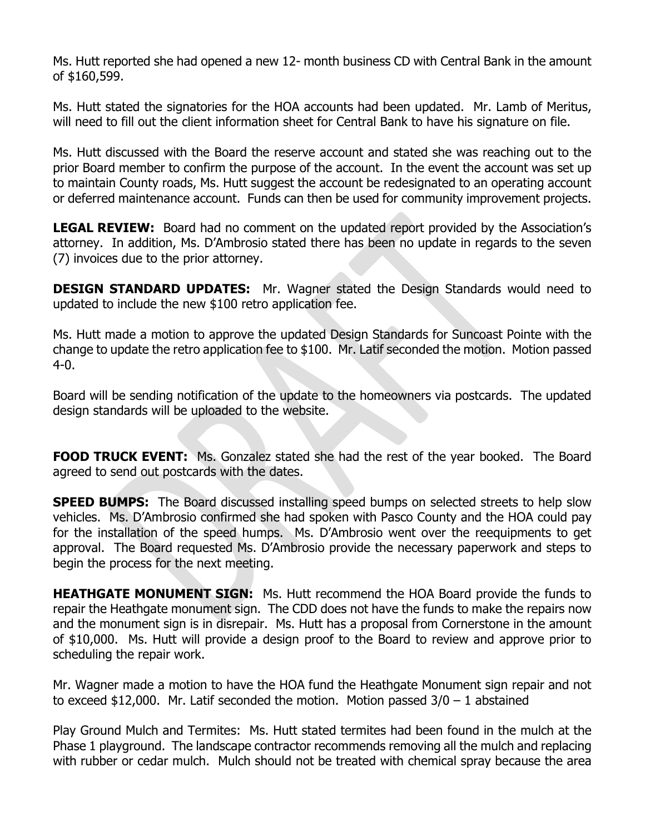Ms. Hutt reported she had opened a new 12- month business CD with Central Bank in the amount of \$160,599.

Ms. Hutt stated the signatories for the HOA accounts had been updated. Mr. Lamb of Meritus, will need to fill out the client information sheet for Central Bank to have his signature on file.

Ms. Hutt discussed with the Board the reserve account and stated she was reaching out to the prior Board member to confirm the purpose of the account. In the event the account was set up to maintain County roads, Ms. Hutt suggest the account be redesignated to an operating account or deferred maintenance account. Funds can then be used for community improvement projects.

**LEGAL REVIEW:** Board had no comment on the updated report provided by the Association's attorney. In addition, Ms. D'Ambrosio stated there has been no update in regards to the seven (7) invoices due to the prior attorney.

**DESIGN STANDARD UPDATES:** Mr. Wagner stated the Design Standards would need to updated to include the new \$100 retro application fee.

Ms. Hutt made a motion to approve the updated Design Standards for Suncoast Pointe with the change to update the retro application fee to \$100. Mr. Latif seconded the motion. Motion passed 4-0.

Board will be sending notification of the update to the homeowners via postcards. The updated design standards will be uploaded to the website.

**FOOD TRUCK EVENT:** Ms. Gonzalez stated she had the rest of the year booked. The Board agreed to send out postcards with the dates.

**SPEED BUMPS:** The Board discussed installing speed bumps on selected streets to help slow vehicles. Ms. D'Ambrosio confirmed she had spoken with Pasco County and the HOA could pay for the installation of the speed humps. Ms. D'Ambrosio went over the reequipments to get approval. The Board requested Ms. D'Ambrosio provide the necessary paperwork and steps to begin the process for the next meeting.

**HEATHGATE MONUMENT SIGN:** Ms. Hutt recommend the HOA Board provide the funds to repair the Heathgate monument sign. The CDD does not have the funds to make the repairs now and the monument sign is in disrepair. Ms. Hutt has a proposal from Cornerstone in the amount of \$10,000. Ms. Hutt will provide a design proof to the Board to review and approve prior to scheduling the repair work.

Mr. Wagner made a motion to have the HOA fund the Heathgate Monument sign repair and not to exceed \$12,000. Mr. Latif seconded the motion. Motion passed  $3/0 - 1$  abstained

Play Ground Mulch and Termites: Ms. Hutt stated termites had been found in the mulch at the Phase 1 playground. The landscape contractor recommends removing all the mulch and replacing with rubber or cedar mulch. Mulch should not be treated with chemical spray because the area